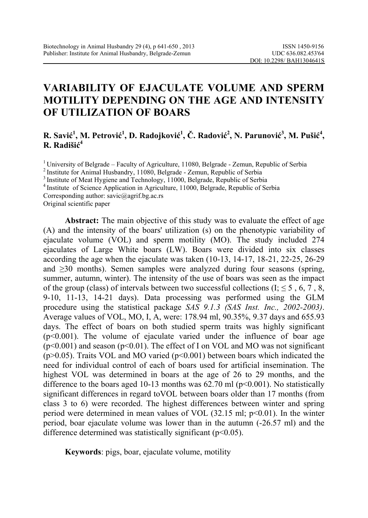# **VARIABILITY OF EJACULATE VOLUME AND SPERM MOTILITY DEPENDING ON THE AGE AND INTENSITY OF UTILIZATION OF BOARS**

#### R. Savić<sup>1</sup>, M. Petrović<sup>1</sup>, D. Radojković<sup>1</sup>, Č. Radović<sup>2</sup>, N. Parunović<sup>3</sup>, M. Pušić<sup>4</sup>, **R. Radišić 4**

<sup>1</sup> University of Belgrade – Faculty of Agriculture, 11080, Belgrade - Zemun, Republic of Serbia<br>
<sup>2</sup> Institute for Animal Husbandry, 11080, Belgrade - Zemun, Republic of Serbia<br>
<sup>3</sup> Institute of Meat Hygiene and Technolo

Corresponding author: savic@agrif.bg.ac.rs

Original scientific paper

**Abstract:** The main objective of this study was to evaluate the effect of age (A) and the intensity of the boars' utilization (s) on the phenotypic variability of ejaculate volume (VOL) and sperm motility (MO). The study included 274 ejaculates of Large White boars (LW). Boars were divided into six classes according the age when the ejaculate was taken (10-13, 14-17, 18-21, 22-25, 26-29 and ≥30 months). Semen samples were analyzed during four seasons (spring, summer, autumn, winter). The intensity of the use of boars was seen as the impact of the group (class) of intervals between two successful collections (I;  $\leq 5$ , 6, 7, 8, 9-10, 11-13, 14-21 days). Data processing was performed using the GLM procedure using the statistical package *SAS 9.1.3 (SAS Inst. Inc., 2002-2003)*. Average values of VOL, MO, I, A, were: 178.94 ml, 90.35%, 9.37 days and 655.93 days. The effect of boars on both studied sperm traits was highly significant  $(p<0.001)$ . The volume of ejaculate varied under the influence of boar age  $(p<0.001)$  and season  $(p<0.01)$ . The effect of I on VOL and MO was not significant ( $p$ >0.05). Traits VOL and MO varied ( $p$ <0.001) between boars which indicated the need for individual control of each of boars used for artificial insemination. The highest VOL was determined in boars at the age of 26 to 29 months, and the difference to the boars aged 10-13 months was  $62.70$  ml ( $p<0.001$ ). No statistically significant differences in regard toVOL between boars older than 17 months (from class 3 to 6) were recorded. The highest differences between winter and spring period were determined in mean values of VOL (32.15 ml; p<0.01). In the winter period, boar ejaculate volume was lower than in the autumn (-26.57 ml) and the difference determined was statistically significant  $(p<0.05)$ .

**Keywords**: pigs, boar, ejaculate volume, motility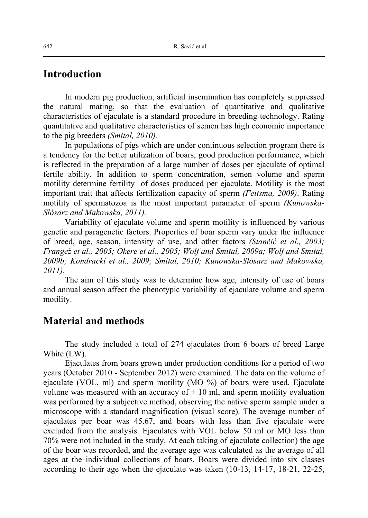#### **Introduction**

In modern pig production, artificial insemination has completely suppressed the natural mating, so that the evaluation of quantitative and qualitative characteristics of ejaculate is a standard procedure in breeding technology. Rating quantitative and qualitative characteristics of semen has high economic importance to the pig breeders *(Smital, 2010).*

In populations of pigs which are under continuous selection program there is a tendency for the better utilization of boars, good production performance, which is reflected in the preparation of a large number of doses per ejaculate of optimal fertile ability. In addition to sperm concentration, semen volume and sperm motility determine fertility of doses produced per ejaculate. Motility is the most important trait that affects fertilization capacity of sperm *(Feitsma, 2009)*. Rating motility of spermatozoa is the most important parameter of sperm *(Kunowska-Slósarz and Makowska, 2011).*

Variability of ejaculate volume and sperm motility is influenced by various genetic and paragenetic factors. Properties of boar sperm vary under the influence of breed, age, season, intensity of use, and other factors *(Stančić et al., 2003; Frangež et al., 2005; Okere et al., 2005; Wolf and Smital, 2009a; Wolf and Smital, 2009b; Kondracki et al., 2009; Smital, 2010; Kunowska-Slósarz and Makowska, 2011).*

The aim of this study was to determine how age, intensity of use of boars and annual season affect the phenotypic variability of ejaculate volume and sperm motility.

### **Material and methods**

The study included a total of 274 ejaculates from 6 boars of breed Large White (LW).

Ejaculates from boars grown under production conditions for a period of two years (October 2010 - September 2012) were examined. The data on the volume of ejaculate (VOL, ml) and sperm motility (MO %) of boars were used. Ejaculate volume was measured with an accuracy of  $\pm$  10 ml, and sperm motility evaluation was performed by a subjective method, observing the native sperm sample under a microscope with a standard magnification (visual score). The average number of ejaculates per boar was 45.67, and boars with less than five ejaculate were excluded from the analysis. Ejaculates with VOL below 50 ml or MO less than 70% were not included in the study. At each taking of ejaculate collection) the age of the boar was recorded, and the average age was calculated as the average of all ages at the individual collections of boars. Boars were divided into six classes according to their age when the ejaculate was taken (10-13, 14-17, 18-21, 22-25,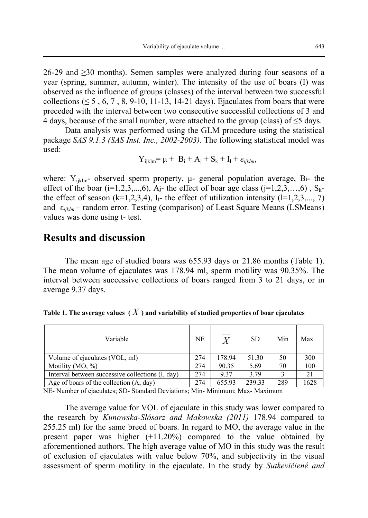26-29 and  $\geq$ 30 months). Semen samples were analyzed during four seasons of a year (spring, summer, autumn, winter). The intensity of the use of boars (I) was observed as the influence of groups (classes) of the interval between two successful collections ( $\leq 5$ , 6, 7, 8, 9-10, 11-13, 14-21 days). Ejaculates from boars that were preceded with the interval between two consecutive successful collections of 3 and 4 days, because of the small number, were attached to the group (class) of  $\leq$ 5 days.

Data analysis was performed using the GLM procedure using the statistical package *SAS 9.1.3 (SAS Inst. Inc., 2002-2003)*. The following statistical model was used:

$$
Y_{ijklm} = \mu + B_i + A_j + S_k + I_l + \varepsilon_{ijklm},
$$

where:  $Y_{ijklm}$ - observed sperm property,  $\mu$ - general population average, Bi- the effect of the boar ( $i=1,2,3,...,6$ ),  $A_i$ - the effect of boar age class ( $i=1,2,3,...,6$ ),  $S_k$ the effect of season  $(k=1,2,3,4)$ , I<sub>1</sub>- the effect of utilization intensity  $(1=1,2,3,..., 7)$ and ε*ijklm* – random error. Testing (comparison) of Least Square Means (LSMeans) values was done using t- test.

## **Results and discussion**

The mean age of studied boars was 655.93 days or 21.86 months (Table 1). The mean volume of ejaculates was 178.94 ml, sperm motility was 90.35%. The interval between successive collections of boars ranged from 3 to 21 days, or in average 9.37 days.

| Table 1. The average values $(X)$ and variability of studied properties of boar ejaculates |  |  |
|--------------------------------------------------------------------------------------------|--|--|
|--------------------------------------------------------------------------------------------|--|--|

| Variable                                         | NE  | $\overline{X}$ | <b>SD</b> | Min | Max  |
|--------------------------------------------------|-----|----------------|-----------|-----|------|
| Volume of ejaculates (VOL, ml)                   | 274 | 178.94         | 51.30     | 50  | 300  |
| Motility $(MO, %)$                               | 274 | 90.35          | 5.69      | 70  | 100  |
| Interval between successive collections (I, day) | 274 | 9.37           | 3.79      |     | 21   |
| Age of boars of the collection (A, day)          | 274 | 655.93         | 239.33    | 289 | 1628 |

NE- Number of ejaculates; SD- Standard Deviations; Min- Minimum; Max- Maximum

The average value for VOL of ejaculate in this study was lower compared to the research by *Kunowska-Slósarz and Makowska (2011)* 178.94 compared to 255.25 ml) for the same breed of boars. In regard to MO, the average value in the present paper was higher (+11.20%) compared to the value obtained by aforementioned authors. The high average value of MO in this study was the result of exclusion of ejaculates with value below 70%, and subjectivity in the visual assessment of sperm motility in the ejaculate. In the study by *Sutkevičiené and*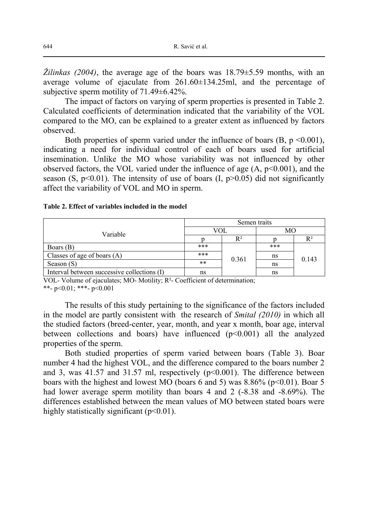*Žilinkas (2004)*, the average age of the boars was 18.79±5.59 months, with an average volume of ejaculate from 261.60±134.25ml, and the percentage of subjective sperm motility of 71.49±6.42%.

The impact of factors on varying of sperm properties is presented in Table 2. Calculated coefficients of determination indicated that the variability of the VOL compared to the MO, can be explained to a greater extent as influenced by factors observed.

Both properties of sperm varied under the influence of boars  $(B, p \le 0.001)$ , indicating a need for individual control of each of boars used for artificial insemination. Unlike the MO whose variability was not influenced by other observed factors, the VOL varied under the influence of age  $(A, p<0.001)$ , and the season (S,  $p<0.01$ ). The intensity of use of boars (I,  $p>0.05$ ) did not significantly affect the variability of VOL and MO in sperm.

|  |  |  |  |  | Table 2. Effect of variables included in the model |
|--|--|--|--|--|----------------------------------------------------|
|--|--|--|--|--|----------------------------------------------------|

|                                             | Semen traits |       |     |       |
|---------------------------------------------|--------------|-------|-----|-------|
| Variable                                    |              | VOL   | МO  |       |
|                                             |              | $R^2$ |     | $R^2$ |
| Boars (B)                                   | $***$        |       | *** |       |
| Classes of age of boars $(A)$               | ***          | 0.361 | ns  | 0.143 |
| Season (S)                                  | $***$        |       | ns  |       |
| Interval between successive collections (I) | ns           |       | ns  |       |

VOL- Volume of ejaculates; MO- Motility; R²- Coefficient of determination; \*\*- p<0.01; \*\*\*- p<0.001

The results of this study pertaining to the significance of the factors included in the model are partly consistent with the research of *Smital (2010)* in which all the studied factors (breed-center, year, month, and year x month, boar age, interval between collections and boars) have influenced  $(p<0.001)$  all the analyzed properties of the sperm.

Both studied properties of sperm varied between boars (Table 3). Boar number 4 had the highest VOL, and the difference compared to the boars number 2 and 3, was  $41.57$  and  $31.57$  ml, respectively ( $p<0.001$ ). The difference between boars with the highest and lowest MO (boars 6 and 5) was  $8.86\%$  (p<0.01). Boar 5 had lower average sperm motility than boars 4 and 2 (-8.38 and -8.69%). The differences established between the mean values of MO between stated boars were highly statistically significant  $(p<0.01)$ .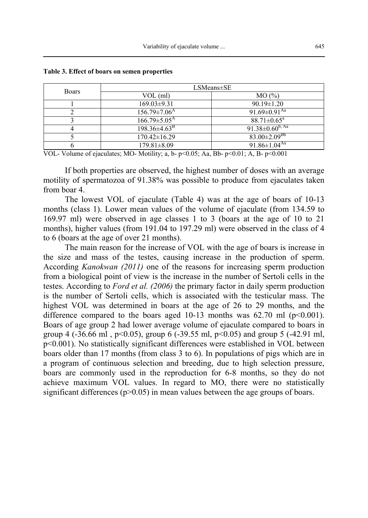| <b>Boars</b> | $LSMeans \pm SE$               |                                  |  |
|--------------|--------------------------------|----------------------------------|--|
|              | $VOL$ (ml)                     | MO(%)                            |  |
|              | $169.03 \pm 9.31$              | $90.19 \pm 1.20$                 |  |
|              | $156.79 \pm 7.06$ <sup>A</sup> | 91.69 $\pm$ 0.91 <sup>Aa</sup>   |  |
|              | $166.79 \pm 5.05^{\text{A}}$   | $88.71 \pm 0.65^{\text{a}}$      |  |
|              | $198.36 \pm 4.63$ <sup>B</sup> | $91.38 \pm 0.60^{b, \text{ Aa}}$ |  |
|              | $170.42 \pm 16.29$             | $83.00 \pm 2.09$ <sup>Bb</sup>   |  |
|              | $179.81 \pm 8.09$              | 91.86 $\pm$ 1.04 $\overline{A}$  |  |

**Table 3. Effect of boars on semen properties** 

VOL- Volume of ejaculates; MO- Motility; a, b-  $p<0.05$ ; Aa, Bb-  $p<0.01$ ; A, B-  $p<0.001$ 

If both properties are observed, the highest number of doses with an average motility of spermatozoa of 91.38% was possible to produce from ejaculates taken from boar 4.

The lowest VOL of ejaculate (Table 4) was at the age of boars of 10-13 months (class 1). Lower mean values of the volume of ejaculate (from 134.59 to 169.97 ml) were observed in age classes 1 to 3 (boars at the age of 10 to 21 months), higher values (from 191.04 to 197.29 ml) were observed in the class of 4 to 6 (boars at the age of over 21 months).

The main reason for the increase of VOL with the age of boars is increase in the size and mass of the testes, causing increase in the production of sperm. According *Kanokwan (2011)* one of the reasons for increasing sperm production from a biological point of view is the increase in the number of Sertoli cells in the testes. According to *Ford et al. (2006)* the primary factor in daily sperm production is the number of Sertoli cells, which is associated with the testicular mass. The highest VOL was determined in boars at the age of 26 to 29 months, and the difference compared to the boars aged 10-13 months was 62.70 ml  $(p<0.001)$ . Boars of age group 2 had lower average volume of ejaculate compared to boars in group 4 (-36.66 ml,  $p<0.05$ ), group 6 (-39.55 ml,  $p<0.05$ ) and group 5 (-42.91 ml, p<0.001). No statistically significant differences were established in VOL between boars older than 17 months (from class 3 to 6). In populations of pigs which are in a program of continuous selection and breeding, due to high selection pressure, boars are commonly used in the reproduction for 6-8 months, so they do not achieve maximum VOL values. In regard to MO, there were no statistically significant differences ( $p > 0.05$ ) in mean values between the age groups of boars.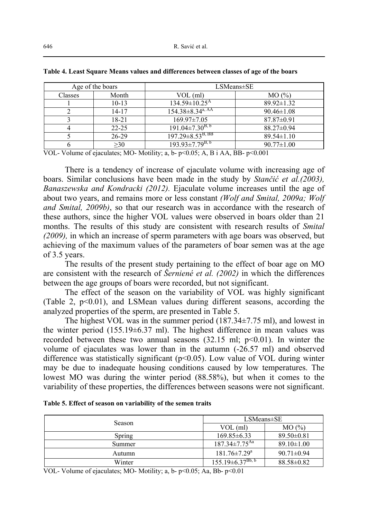| Age of the boars |           | $LSMeans \pm SE$                |                  |
|------------------|-----------|---------------------------------|------------------|
| Classes          | Month     | VOL (ml)                        | MO(%)            |
|                  | $10-13$   | $134.59 \pm 10.25$ <sup>A</sup> | $89.92 \pm 1.32$ |
|                  | 14-17     | $154.38 \pm 8.34^{4,AA}$        | $90.46 \pm 1.08$ |
|                  | 18-21     | $169.97 \pm 7.05$               | $87.87 \pm 0.91$ |
|                  | $22 - 25$ | $191.04 \pm 7.30^{B.6}$         | $88.27 \pm 0.94$ |
|                  | $26 - 29$ | $197.29 \pm 8.53^{B, BB}$       | $89.54 \pm 1.10$ |
|                  | $\geq 30$ | $193.93 \pm 7.79^{B, b}$        | $90.77 \pm 1.00$ |

| Table 4. Least Square Means values and differences between classes of age of the boars |  |  |  |
|----------------------------------------------------------------------------------------|--|--|--|
|----------------------------------------------------------------------------------------|--|--|--|

VOL- Volume of ejaculates; MO- Motility; a, b- p<0.05; A, B i AA, BB- p<0.001

There is a tendency of increase of ejaculate volume with increasing age of boars. Similar conclusions have been made in the study by *Stančić et al.(2003), Banaszewska and Kondracki (2012).* Ejaculate volume increases until the age of about two years, and remains more or less constant *(Wolf and Smital, 2009a; Wolf and Smital, 2009b)*, so that our research was in accordance with the research of these authors, since the higher VOL values were observed in boars older than 21 months. The results of this study are consistent with research results of *Smital (2009),* in which an increase of sperm parameters with age boars was observed, but achieving of the maximum values of the parameters of boar semen was at the age of 3.5 years.

The results of the present study pertaining to the effect of boar age on MO are consistent with the research of *Šerniené et al. (2002)* in which the differences between the age groups of boars were recorded, but not significant.

The effect of the season on the variability of VOL was highly significant (Table 2,  $p<0.01$ ), and LSMean values during different seasons, according the analyzed properties of the sperm, are presented in Table 5.

The highest VOL was in the summer period (187.34±7.75 ml), and lowest in the winter period  $(155.19 \pm 6.37 \text{ ml})$ . The highest difference in mean values was recorded between these two annual seasons  $(32.15 \text{ ml}; \text{p} < 0.01)$ . In winter the volume of ejaculates was lower than in the autumn (-26.57 ml) and observed difference was statistically significant  $(p<0.05)$ . Low value of VOL during winter may be due to inadequate housing conditions caused by low temperatures. The lowest MO was during the winter period (88.58%), but when it comes to the variability of these properties, the differences between seasons were not significant.

| Table 5. Effect of season on variability of the semen traits |  |  |
|--------------------------------------------------------------|--|--|
|                                                              |  |  |

**Table 5. Effect of season on variability of the semen traits** 

| Season | $LSMeans \pm SE$                |                  |  |
|--------|---------------------------------|------------------|--|
|        | $VOL$ (ml)                      | MO(%)            |  |
| Spring | $169.85\pm 6.33$                | $89.50 \pm 0.81$ |  |
| Summer | $187.34 \pm 7.75$ <sup>Aa</sup> | $89.10 \pm 1.00$ |  |
| Autumn | $181.76 \pm 7.29$ <sup>a</sup>  | $90.71 \pm 0.94$ |  |
| Winter | $155.19 \pm 6.37^{Bb, b}$       | $88.58 \pm 0.82$ |  |

VOL- Volume of ejaculates; MO- Motility; a, b- p<0.05; Aa, Bb- p<0.01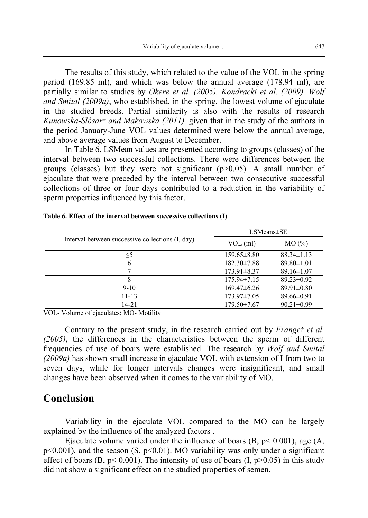The results of this study, which related to the value of the VOL in the spring period (169.85 ml), and which was below the annual average (178.94 ml), are partially similar to studies by *Okere et al. (2005), Kondracki et al. (2009), Wolf and Smital (2009a)*, who established, in the spring, the lowest volume of ejaculate in the studied breeds. Partial similarity is also with the results of research *Kunowska-Slósarz and Makowska (2011),* given that in the study of the authors in the period January-June VOL values determined were below the annual average, and above average values from August to December.

In Table 6, LSMean values are presented according to groups (classes) of the interval between two successful collections. There were differences between the groups (classes) but they were not significant  $(p>0.05)$ . A small number of ejaculate that were preceded by the interval between two consecutive successful collections of three or four days contributed to a reduction in the variability of sperm properties influenced by this factor.

|                                                  | LSMeans±SE        |                  |  |
|--------------------------------------------------|-------------------|------------------|--|
| Interval between successive collections (I, day) | $VOL$ (ml)        | MO(%)            |  |
| $\leq$ 5                                         | $159.65\pm8.80$   | $88.34 \pm 1.13$ |  |
|                                                  | $182.30 \pm 7.88$ | $89.80 \pm 1.01$ |  |
|                                                  | $173.91 \pm 8.37$ | $89.16 \pm 1.07$ |  |
|                                                  | 175.94±7.15       | $89.23 \pm 0.92$ |  |
| $9-10$                                           | $169.47\pm 6.26$  | $89.91 \pm 0.80$ |  |
| 11-13                                            | 173.97±7.05       | $89.66 \pm 0.91$ |  |
| 14-21                                            | 179.50±7.67       | $90.21 \pm 0.99$ |  |

**Table 6. Effect of the interval between successive collections (I)** 

VOL- Volume of ejaculates; MO- Motility

Contrary to the present study, in the research carried out by *Frangež et al. (2005)*, the differences in the characteristics between the sperm of different frequencies of use of boars were established. The research by *Wolf and Smital (2009a)* has shown small increase in ejaculate VOL with extension of I from two to seven days, while for longer intervals changes were insignificant, and small changes have been observed when it comes to the variability of MO.

### **Conclusion**

Variability in the ejaculate VOL compared to the MO can be largely explained by the influence of the analyzed factors .

Ejaculate volume varied under the influence of boars  $(B, p< 0.001)$ , age  $(A, p< 0.001)$  $p<0.001$ ), and the season (S,  $p<0.01$ ). MO variability was only under a significant effect of boars (B,  $p < 0.001$ ). The intensity of use of boars (I,  $p > 0.05$ ) in this study did not show a significant effect on the studied properties of semen.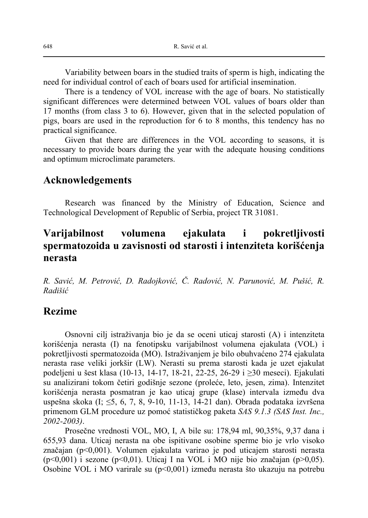Variability between boars in the studied traits of sperm is high, indicating the need for individual control of each of boars used for artificial insemination.

There is a tendency of VOL increase with the age of boars. No statistically significant differences were determined between VOL values of boars older than 17 months (from class 3 to 6). However, given that in the selected population of pigs, boars are used in the reproduction for 6 to 8 months, this tendency has no practical significance.

Given that there are differences in the VOL according to seasons, it is necessary to provide boars during the year with the adequate housing conditions and optimum microclimate parameters.

### **Acknowledgements**

Research was financed by the Ministry of Education, Science and Technological Development of Republic of Serbia, project TR 31081.

## **Varijabilnost volumena ejakulata i pokretljivosti spermatozoida u zavisnosti od starosti i intenziteta korišćenja nerasta**

*R. Savić, M. Petrović, D. Radojković, Č. Radović, N. Parunović, M. Pušić, R. Radišić*

#### **Rezime**

Osnovni cilj istraživanja bio je da se oceni uticaj starosti (A) i intenziteta korišćenja nerasta (I) na fenotipsku varijabilnost volumena ejakulata (VOL) i pokretljivosti spermatozoida (MO). Istraživanjem je bilo obuhvaćeno 274 ejakulata nerasta rase veliki jorkšir (LW). Nerasti su prema starosti kada je uzet ejakulat podeljeni u šest klasa (10-13, 14-17, 18-21, 22-25, 26-29 i ≥30 meseci). Ejakulati su analizirani tokom četiri godišnje sezone (proleće, leto, jesen, zima). Intenzitet korišćenja nerasta posmatran je kao uticaj grupe (klase) intervala između dva uspešna skoka (I; ≤5, 6, 7, 8, 9-10, 11-13, 14-21 dan). Obrada podataka izvršena primenom GLM procedure uz pomoć statističkog paketa *SAS 9.1.3 (SAS Inst. Inc., 2002-2003)*.

Prosečne vrednosti VOL, MO, I, A bile su: 178,94 ml, 90,35%, 9,37 dana i 655,93 dana. Uticaj nerasta na obe ispitivane osobine sperme bio je vrlo visoko značajan (p<0,001). Volumen ejakulata varirao je pod uticajem starosti nerasta (p<0,001) i sezone (p<0,01). Uticaj I na VOL i MO nije bio značajan (p>0,05). Osobine VOL i MO varirale su (p<0,001) između nerasta što ukazuju na potrebu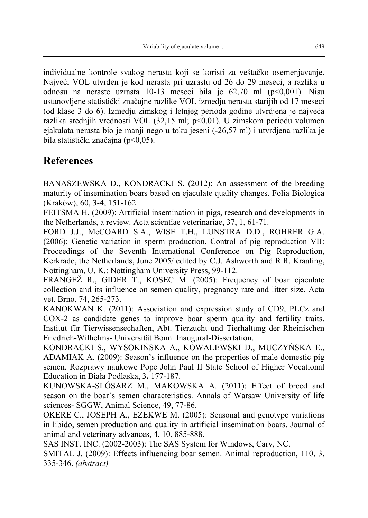individualne kontrole svakog nerasta koji se koristi za veštačko osemenjavanje. Najveći VOL utvrđen je kod nerasta pri uzrastu od 26 do 29 meseci, a razlika u odnosu na neraste uzrasta 10-13 meseci bila je 62,70 ml (p<0,001). Nisu ustanovljene statistički značajne razlike VOL izmedju nerasta starijih od 17 meseci (od klase 3 do 6). Izmedju zimskog i letnjeg perioda godine utvrdjena je najveća razlika srednjih vrednosti VOL (32,15 ml; p<0,01). U zimskom periodu volumen ejakulata nerasta bio je manji nego u toku jeseni (-26,57 ml) i utvrdjena razlika je bila statistički značajna (p<0,05).

## **References**

BANASZEWSKA D., KONDRACKI S. (2012): An assessment of the breeding maturity of insemination boars based on ejaculate quality changes. Folia Biologica (Kraków), 60, 3-4, 151-162.

FEITSMA H. (2009): Artificial insemination in pigs, research and developments in the Netherlands, a review. Acta scientiae veterinariae, 37, 1, 61-71.

FORD J.J., McCOARD S.A., WISE T.H., LUNSTRA D.D., ROHRER G.A. (2006): Genetic variation in sperm production. Control of pig reproduction VII: Proceedings of the Seventh International Conference on Pig Reproduction, Kerkrade, the Netherlands, June 2005/ edited by C.J. Ashworth and R.R. Kraaling, Nottingham, U. K.: Nottingham University Press, 99-112.

FRANGEŽ R., GIDER T., KOSEC M. (2005): Frequency of boar ejaculate collection and its influence on semen quality, pregnancy rate and litter size. Acta vet. Brno, 74, 265-273.

KANOKWAN K. (2011): Association and expression study of CD9, PLCz and COX-2 as candidate genes to improve boar sperm quality and fertility traits. Institut für Tierwissensechaften, Abt. Tierzucht und Tierhaltung der Rheinischen Friedrich-Wilhelms- Universität Bonn. Inaugural-Dissertation.

KONDRACKI S., WYSOKIŃSKA A., KOWALEWSKI D., MUCZYŃSKA E., ADAMIAK A. (2009): Season's influence on the properties of male domestic pig semen. Rozprawy naukowe Pope John Paul II State School of Higher Vocational Education in Biała Podlaska, 3**,** 177-187.

KUNOWSKA-SLÓSARZ M., MAKOWSKA A. (2011): Effect of breed and season on the boar's semen characteristics. Annals of Warsaw University of life sciences- SGGW, Animal Science, 49, 77-86.

OKERE C., JOSEPH A., EZEKWE M. (2005): Seasonal and genotype variations in libido, semen production and quality in artificial insemination boars. Journal of animal and veterinary advances, 4, 10, 885-888.

SAS INST. INC. (2002-2003): The SAS System for Windows, Cary, NC.

SMITAL J. (2009): Effects influencing boar semen. Animal reproduction, 110, 3, 335-346. *(abstract)*